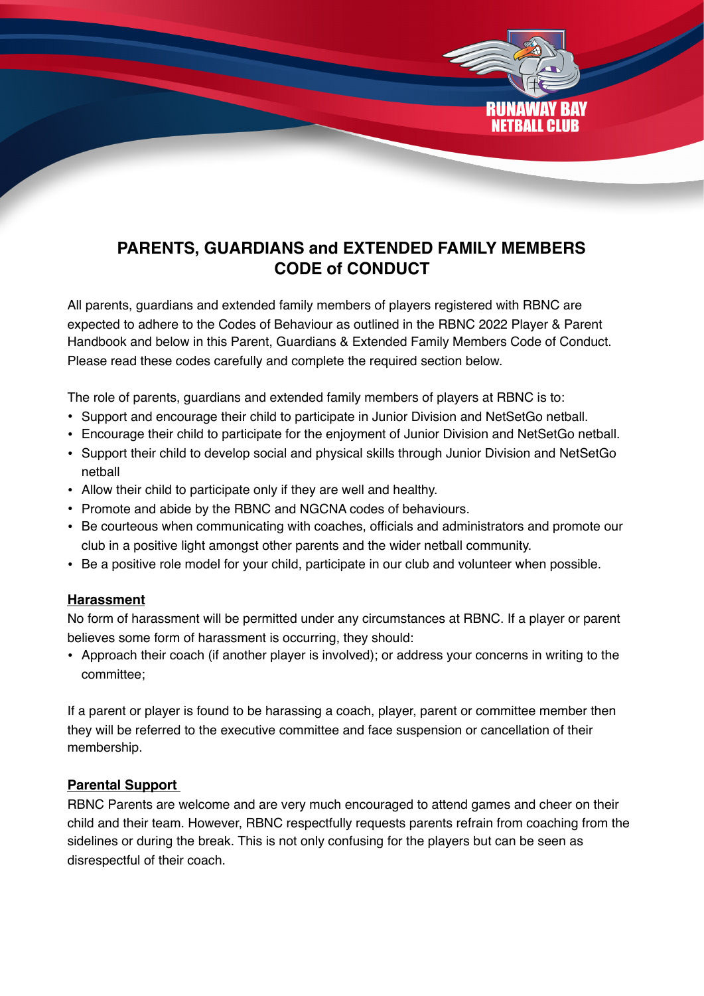# **PARENTS, GUARDIANS and EXTENDED FAMILY MEMBERS CODE of CONDUCT**

NETRALL CLIIR

All parents, guardians and extended family members of players registered with RBNC are expected to adhere to the Codes of Behaviour as outlined in the RBNC 2022 Player & Parent Handbook and below in this Parent, Guardians & Extended Family Members Code of Conduct. Please read these codes carefully and complete the required section below.

The role of parents, guardians and extended family members of players at RBNC is to:

- Support and encourage their child to participate in Junior Division and NetSetGo netball.
- Encourage their child to participate for the enjoyment of Junior Division and NetSetGo netball.
- Support their child to develop social and physical skills through Junior Division and NetSetGo netball
- Allow their child to participate only if they are well and healthy.
- Promote and abide by the RBNC and NGCNA codes of behaviours.
- Be courteous when communicating with coaches, officials and administrators and promote our club in a positive light amongst other parents and the wider netball community.
- Be a positive role model for your child, participate in our club and volunteer when possible.

### **Harassment**

No form of harassment will be permitted under any circumstances at RBNC. If a player or parent believes some form of harassment is occurring, they should:

• Approach their coach (if another player is involved); or address your concerns in writing to the committee;

If a parent or player is found to be harassing a coach, player, parent or committee member then they will be referred to the executive committee and face suspension or cancellation of their membership.

### **Parental Support**

RBNC Parents are welcome and are very much encouraged to attend games and cheer on their child and their team. However, RBNC respectfully requests parents refrain from coaching from the sidelines or during the break. This is not only confusing for the players but can be seen as disrespectful of their coach.